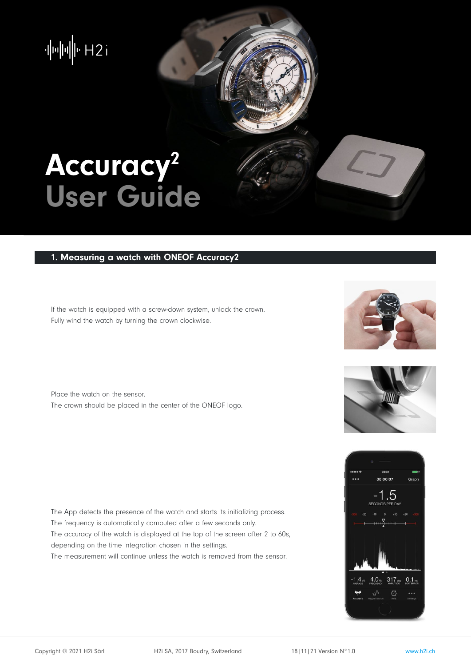$\left\Vert \mu\right\Vert \left\Vert \mu\right\Vert \left\Vert \nu\right\Vert \left\Vert 2\right\Vert$ 

# Accuracy<sup>2</sup> User Guide

## 1. Measuring a watch with ONEOF Accuracy2

If the watch is equipped with a screw-down system, unlock the crown. Fully wind the watch by turning the crown clockwise.

Place the watch on the sensor. The crown should be placed in the center of the ONEOF logo.

The App detects the presence of the watch and starts its initializing process. The frequency is automatically computed after a few seconds only. The accuracy of the watch is displayed at the top of the screen after 2 to 60s, depending on the time integration chosen in the settings. The measurement will continue unless the watch is removed from the sensor.





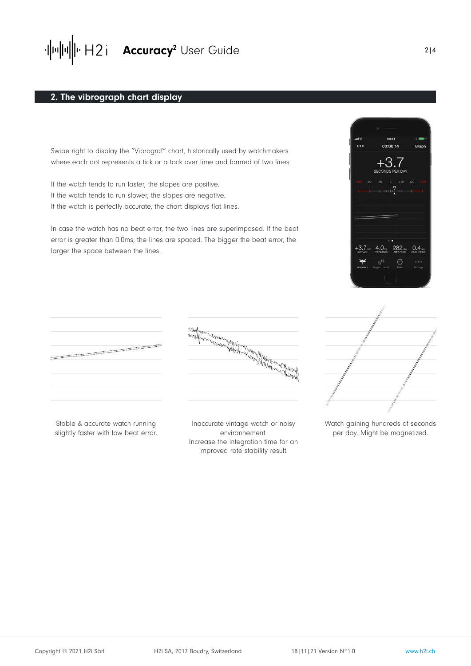

#### 2. The vibrograph chart display

Swipe right to display the "Vibrograf" chart, historically used by watchmakers where each dot represents a tick or a tock over time and formed of two lines.

If the watch tends to run faster, the slopes are positive. If the watch tends to run slower, the slopes are negative. If the watch is perfectly accurate, the chart displays flat lines.

In case the watch has no beat error, the two lines are superimposed. If the beat error is greater than 0.0ms, the lines are spaced. The bigger the beat error, the larger the space between the lines.





Stable & accurate watch running slightly faster with low beat error.

Inaccurate vintage watch or noisy environnement. Increase the integration time for an improved rate stability result.



Watch gaining hundreds of seconds per day. Might be magnetized.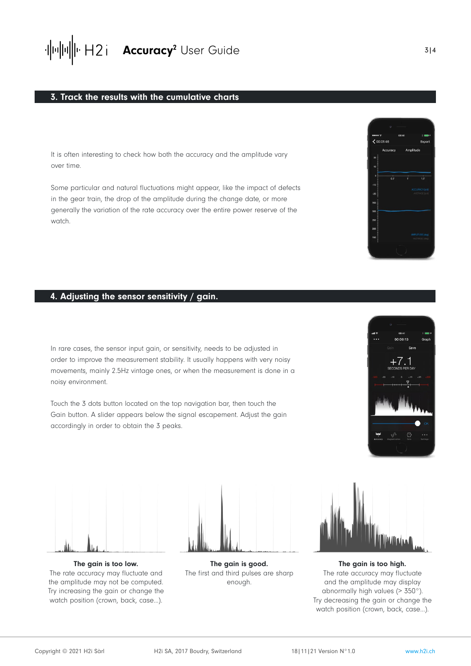

#### 3. Track the results with the cumulative charts

It is often interesting to check how both the accuracy and the amplitude vary over time.

Some particular and natural fluctuations might appear, like the impact of defects in the gear train, the drop of the amplitude during the change date, or more generally the variation of the rate accuracy over the entire power reserve of the watch.

#### 4. Adjusting the sensor sensitivity / gain.

In rare cases, the sensor input gain, or sensitivity, needs to be adjusted in order to improve the measurement stability. It usually happens with very noisy movements, mainly 2.5Hz vintage ones, or when the measurement is done in a noisy environment.

Touch the 3 dots button located on the top navigation bar, then touch the Gain button. A slider appears below the signal escapement. Adjust the gain accordingly in order to obtain the 3 peaks.





The gain is too low. The rate accuracy may fluctuate and the amplitude may not be computed. Try increasing the gain or change the watch position (crown, back, case…).



The gain is good. The first and third pulses are sharp enough.



The gain is too high. The rate accuracy may fluctuate and the amplitude may display abnormally high values (> 350°). Try decreasing the gain or change the watch position (crown, back, case…).